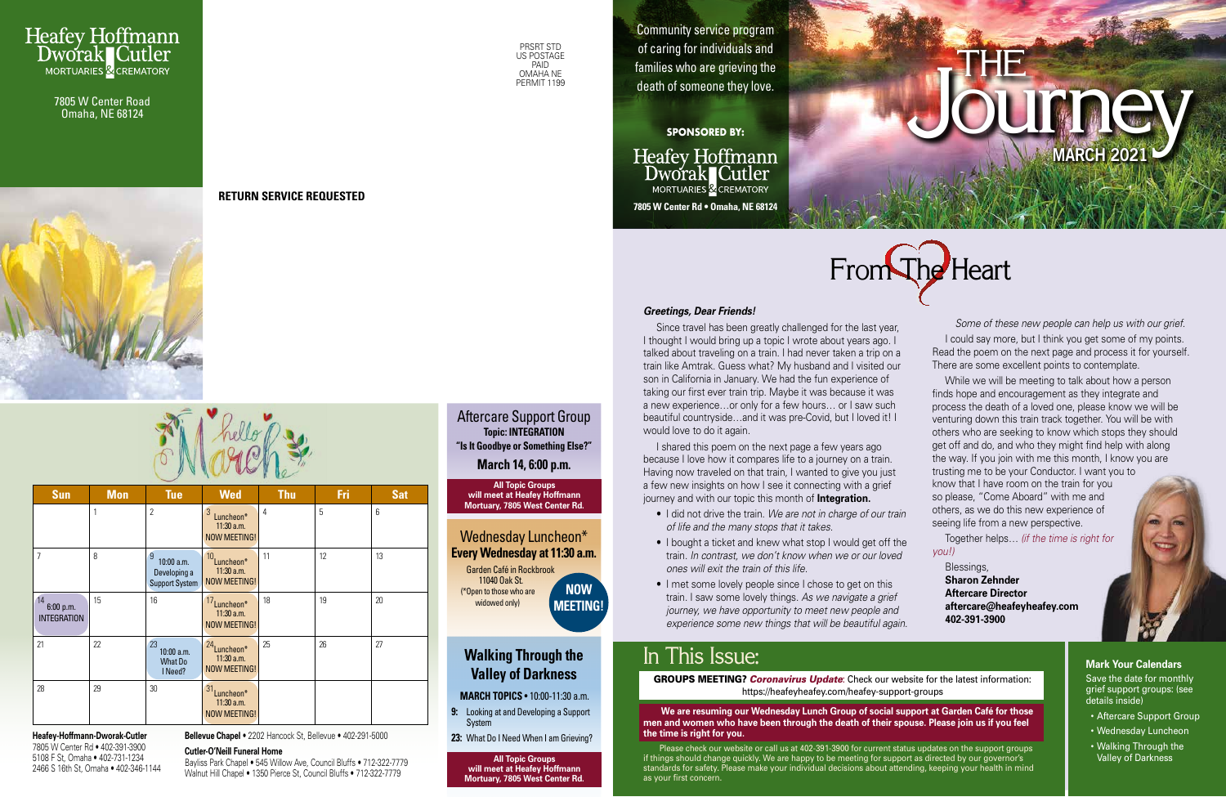# Journe y **MARCH 2021**

# From The Heart

## In This Issue:

## **Walking Through the Valley of Darkness**

**MARCH TOPICS** • 10:00-11:30 a.m.

**Heafey Hoffmann** Dworak Cutler MORTUARIES & CREMATORY **7805 W Center Rd • Omaha, NE 68124**



- **9:** Looking at and Developing a Support System
- **23:** What Do I Need When I am Grieving?



Community service program of caring for individuals and families who are grieving the death of someone they love.

#### **SPONSORED BY:**

THE



7805 W Center Road Omaha, NE 68124



**RETURN SERVICE REQUESTED**

**Heafey-Hoffmann-Dworak-Cutler** 7805 W Center Rd • 402-391-3900 5108 F St, Omaha • 402-731-1234 2466 S 16th St, Omaha • 402-346-1144

#### *Greetings, Dear Friends!*

I shared this poem on the next page a few years ago because I love how it compares life to a journey on a train. Having now traveled on that train, I wanted to give you just a few new insights on how I see it connecting with a grief journey and with our topic this month of **Integration.**

Since travel has been greatly challenged for the last year, I thought I would bring up a topic I wrote about years ago. I talked about traveling on a train. I had never taken a trip on a train like Amtrak. Guess what? My husband and I visited our son in California in January. We had the fun experience of taking our first ever train trip. Maybe it was because it was a new experience…or only for a few hours… or I saw such beautiful countryside…and it was pre-Covid, but I loved it! I would love to do it again.

### Aftercare Support Group **Topic: INTEGRATION "Is It Goodbye or Something Else?"**

- I did not drive the train. *We are not in charge of our train of life and the many stops that it takes.*
- I bought a ticket and knew what stop I would get off the train. *In contrast, we don't know when we or our loved ones will exit the train of this life.*
- I met some lovely people since I chose to get on this train. I saw some lovely things. *As we navigate a grief journey, we have opportunity to meet new people and experience some new things that will be beautiful again.*

| <b>Sun</b>                            | <b>Mon</b> | <b>Tue</b>                                        | <b>Wed</b>                                                      | <b>Thu</b> | Fri | <b>Sat</b> |
|---------------------------------------|------------|---------------------------------------------------|-----------------------------------------------------------------|------------|-----|------------|
|                                       |            | $\overline{2}$                                    | 3<br>Luncheon*<br>$11:30$ a.m.<br><b>NOW MEETING!</b>           | 4          | 5   | 6          |
| $\overline{7}$                        | 8          | 9<br>10:00 a.m.<br>Developing a<br>Support System | 10 <sub>Luncheon</sub> *<br>$11:30$ a.m.<br><b>NOW MEETING!</b> | 11         | 12  | 13         |
| 14<br>6:00 p.m.<br><b>INTEGRATION</b> | 15         | 16                                                | 17Luncheon*<br>$11:30$ a.m.<br><b>NOW MEETING!</b>              | 18         | 19  | 20         |
| 21                                    | 22         | 23<br>10:00 a.m.<br><b>What Do</b><br>I Need?     | 24 <sub>Luncheon</sub> *<br>11:30 a.m.<br><b>NOW MEETING!</b>   | 25         | 26  | 27         |
| 28                                    | 29         | 30                                                | 31<br>Luncheon*<br>$11:30$ a.m.<br><b>NOW MEETING!</b>          |            |     |            |

#### Wednesday Luncheon\* **Every Wednesday at 11:30 a.m.** Garden Café in Rockbrook 11040 Oak St. (\*Open to those who are widowed only) **NOW MEETING!**

*Some of these new people can help us with our grief.* I could say more, but I think you get some of my points. Read the poem on the next page and process it for yourself. There are some excellent points to contemplate.

While we will be meeting to talk about how a person finds hope and encouragement as they integrate and process the death of a loved one, please know we will be venturing down this train track together. You will be with others who are seeking to know which stops they should get off and do, and who they might find help with along the way. If you join with me this month, I know you are trusting me to be your Conductor. I want you to know that I have room on the train for you so please, "Come Aboard" with me and others, as we do this new experience of seeing life from a new perspective.

Together helps… *(if the time is right for you!)* 

Blessings, **Sharon Zehnder Aftercare Director aftercare@heafeyheafey.com 402-391-3900**

**Bellevue Chapel** • 2202 Hancock St, Bellevue • 402-291-5000

#### **Cutler-O'Neill Funeral Home**

Bayliss Park Chapel • 545 Willow Ave, Council Bluffs • 712-322-7779 Walnut Hill Chapel • 1350 Pierce St, Council Bluffs • 712-322-7779

**March 14, 6:00 p.m.**

**All Topic Groups will meet at Heafey Hoffmann Mortuary, 7805 West Center Rd.**

**All Topic Groups**

**will meet at Heafey Hoffmann Mortuary, 7805 West Center Rd.** **Mark Your Calendars** Save the date for monthly grief support groups: (see details inside)

- Aftercare Support Group
- Wednesday Luncheon
- Walking Through the Valley of Darkness

GROUPS MEETING? *Coronavirus Update*: Check our website for the latest information: https://heafeyheafey.com/heafey-support-groups

 **We are resuming our Wednesday Lunch Group of social support at Garden Café for those men and women who have been through the death of their spouse. Please join us if you feel the time is right for you.** 

 Please check our website or call us at 402-391-3900 for current status updates on the support groups if things should change quickly. We are happy to be meeting for support as directed by our governor's standards for safety. Please make your individual decisions about attending, keeping your health in mind as your first concern.